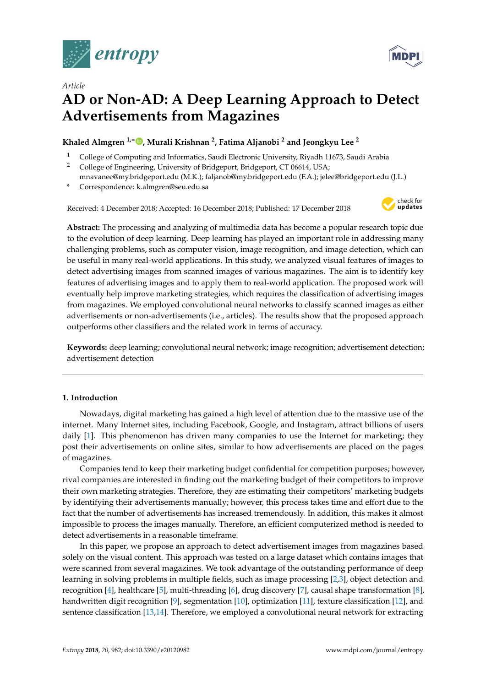



# **AD or Non-AD: A Deep Learning Approach to Detect Advertisements from Magazines**

**Khaled Almgren 1,**<sup>∗</sup> **[,](https://orcid.org/0000-0003-0327-8879) Murali Krishnan <sup>2</sup> , Fatima Aljanobi <sup>2</sup> and Jeongkyu Lee <sup>2</sup>**

- <sup>1</sup> College of Computing and Informatics, Saudi Electronic University, Riyadh 11673, Saudi Arabia<sup>2</sup> College of Engineering, University of Bridgeport, Bridgeport, CT 06614, USA:
- <sup>2</sup> College of Engineering, University of Bridgeport, Bridgeport, CT 06614, USA; mnavanee@my.bridgeport.edu (M.K.); faljanob@my.bridgeport.edu (F.A.); jelee@bridgeport.edu (J.L.)
- **\*** Correspondence: k.almgren@seu.edu.sa

Received: 4 December 2018; Accepted: 16 December 2018; Published: 17 December 2018



**MDPI** 

**Abstract:** The processing and analyzing of multimedia data has become a popular research topic due to the evolution of deep learning. Deep learning has played an important role in addressing many challenging problems, such as computer vision, image recognition, and image detection, which can be useful in many real-world applications. In this study, we analyzed visual features of images to detect advertising images from scanned images of various magazines. The aim is to identify key features of advertising images and to apply them to real-world application. The proposed work will eventually help improve marketing strategies, which requires the classification of advertising images from magazines. We employed convolutional neural networks to classify scanned images as either advertisements or non-advertisements (i.e., articles). The results show that the proposed approach outperforms other classifiers and the related work in terms of accuracy.

**Keywords:** deep learning; convolutional neural network; image recognition; advertisement detection; advertisement detection

# **1. Introduction**

Nowadays, digital marketing has gained a high level of attention due to the massive use of the internet. Many Internet sites, including Facebook, Google, and Instagram, attract billions of users daily [\[1\]](#page-7-0). This phenomenon has driven many companies to use the Internet for marketing; they post their advertisements on online sites, similar to how advertisements are placed on the pages of magazines.

Companies tend to keep their marketing budget confidential for competition purposes; however, rival companies are interested in finding out the marketing budget of their competitors to improve their own marketing strategies. Therefore, they are estimating their competitors' marketing budgets by identifying their advertisements manually; however, this process takes time and effort due to the fact that the number of advertisements has increased tremendously. In addition, this makes it almost impossible to process the images manually. Therefore, an efficient computerized method is needed to detect advertisements in a reasonable timeframe.

In this paper, we propose an approach to detect advertisement images from magazines based solely on the visual content. This approach was tested on a large dataset which contains images that were scanned from several magazines. We took advantage of the outstanding performance of deep learning in solving problems in multiple fields, such as image processing [\[2,](#page-7-1)[3\]](#page-7-2), object detection and recognition [\[4\]](#page-7-3), healthcare [\[5\]](#page-7-4), multi-threading [\[6\]](#page-7-5), drug discovery [\[7\]](#page-7-6), causal shape transformation [\[8\]](#page-7-7), handwritten digit recognition [\[9\]](#page-7-8), segmentation [\[10\]](#page-7-9), optimization [\[11\]](#page-7-10), texture classification [\[12\]](#page-7-11), and sentence classification [\[13,](#page-7-12)[14\]](#page-8-0). Therefore, we employed a convolutional neural network for extracting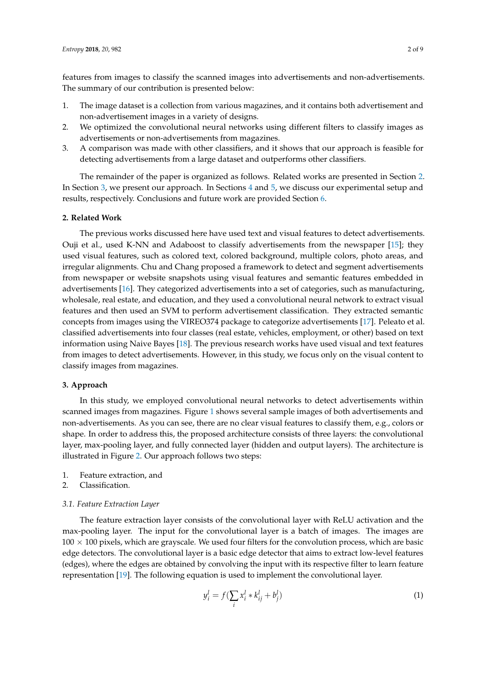features from images to classify the scanned images into advertisements and non-advertisements. The summary of our contribution is presented below:

- 1. The image dataset is a collection from various magazines, and it contains both advertisement and non-advertisement images in a variety of designs.
- 2. We optimized the convolutional neural networks using different filters to classify images as advertisements or non-advertisements from magazines.
- 3. A comparison was made with other classifiers, and it shows that our approach is feasible for detecting advertisements from a large dataset and outperforms other classifiers.

The remainder of the paper is organized as follows. Related works are presented in Section [2.](#page-1-0) In Section [3,](#page-1-1) we present our approach. In Sections [4](#page-4-0) and [5,](#page-6-0) we discuss our experimental setup and results, respectively. Conclusions and future work are provided Section [6.](#page-7-13)

### <span id="page-1-0"></span>**2. Related Work**

The previous works discussed here have used text and visual features to detect advertisements. Ouji et al., used K-NN and Adaboost to classify advertisements from the newspaper [\[15\]](#page-8-1); they used visual features, such as colored text, colored background, multiple colors, photo areas, and irregular alignments. Chu and Chang proposed a framework to detect and segment advertisements from newspaper or website snapshots using visual features and semantic features embedded in advertisements [\[16\]](#page-8-2). They categorized advertisements into a set of categories, such as manufacturing, wholesale, real estate, and education, and they used a convolutional neural network to extract visual features and then used an SVM to perform advertisement classification. They extracted semantic concepts from images using the VIREO374 package to categorize advertisements [\[17\]](#page-8-3). Peleato et al. classified advertisements into four classes (real estate, vehicles, employment, or other) based on text information using Naive Bayes [\[18\]](#page-8-4). The previous research works have used visual and text features from images to detect advertisements. However, in this study, we focus only on the visual content to classify images from magazines.

### <span id="page-1-1"></span>**3. Approach**

In this study, we employed convolutional neural networks to detect advertisements within scanned images from magazines. Figure [1](#page-2-0) shows several sample images of both advertisements and non-advertisements. As you can see, there are no clear visual features to classify them, e.g., colors or shape. In order to address this, the proposed architecture consists of three layers: the convolutional layer, max-pooling layer, and fully connected layer (hidden and output layers). The architecture is illustrated in Figure [2.](#page-2-1) Our approach follows two steps:

- 1. Feature extraction, and
- 2. Classification.

# *3.1. Feature Extraction Layer*

The feature extraction layer consists of the convolutional layer with ReLU activation and the max-pooling layer. The input for the convolutional layer is a batch of images. The images are  $100 \times 100$  pixels, which are grayscale. We used four filters for the convolution process, which are basic edge detectors. The convolutional layer is a basic edge detector that aims to extract low-level features (edges), where the edges are obtained by convolving the input with its respective filter to learn feature representation [\[19\]](#page-8-5). The following equation is used to implement the convolutional layer.

$$
y_i^l = f\left(\sum_i x_i^l * k_{ij}^l + b_j^l\right) \tag{1}
$$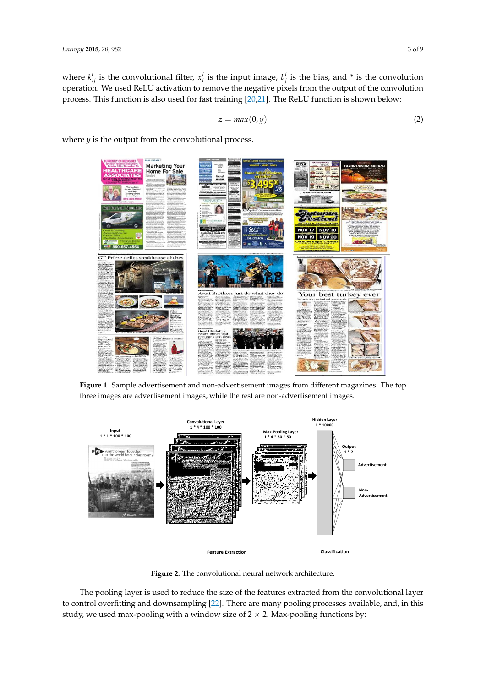where  $k_{ij}^l$  is the convolutional filter,  $x_i^l$  is the input image,  $b_j^l$  is the bias, and  $*$  is the convolution operation. We used ReLU activation to remove the negative pixels from the output of the convolution process. This function is also used for fast training [\[20,](#page-8-6)[21\]](#page-8-7). The ReLU function is shown below:

$$
z = max(0, y) \tag{2}
$$

<span id="page-2-0"></span>where *y* is the output from the convolutional process.



**Figure 1.** Sample advertisement and non-advertisement images from different magazines. The top three images are advertisement images, while the rest are non-advertisement images.

<span id="page-2-1"></span>

**Figure 2.** The convolutional neural network architecture.

The pooling layer is used to reduce the size of the features extracted from the convolutional layer to control overfitting and downsampling [\[22\]](#page-8-8). There are many pooling processes available, and, in this study, we used max-pooling with a window size of  $2 \times 2$ . Max-pooling functions by: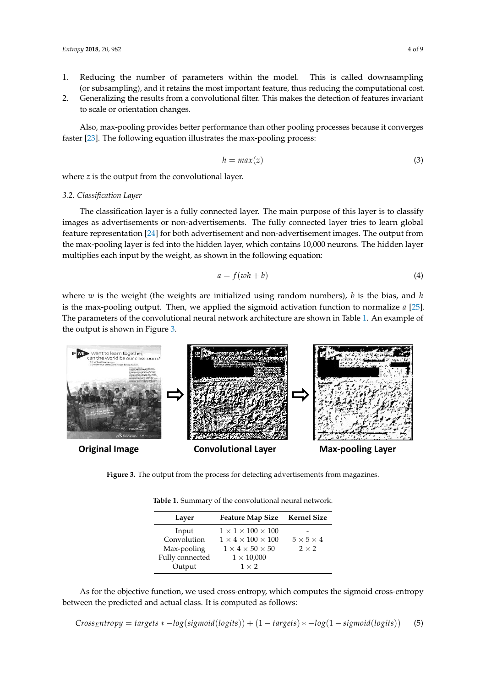- 1. Reducing the number of parameters within the model. This is called downsampling (or subsampling), and it retains the most important feature, thus reducing the computational cost.
- 2. Generalizing the results from a convolutional filter. This makes the detection of features invariant to scale or orientation changes.

Also, max-pooling provides better performance than other pooling processes because it converges faster [\[23\]](#page-8-9). The following equation illustrates the max-pooling process:

$$
h = max(z) \tag{3}
$$

where *z* is the output from the convolutional layer.

#### *3.2. Classification Layer*

The classification layer is a fully connected layer. The main purpose of this layer is to classify images as advertisements or non-advertisements. The fully connected layer tries to learn global feature representation [\[24\]](#page-8-10) for both advertisement and non-advertisement images. The output from the max-pooling layer is fed into the hidden layer, which contains 10,000 neurons. The hidden layer multiplies each input by the weight, as shown in the following equation:

$$
a = f(wh + b) \tag{4}
$$

where *w* is the weight (the weights are initialized using random numbers), *b* is the bias, and *h* is the max-pooling output. Then, we applied the sigmoid activation function to normalize *a* [\[25\]](#page-8-11). The parameters of the convolutional neural network architecture are shown in Table [1.](#page-3-0) An example of the output is shown in Figure [3.](#page-3-1)

<span id="page-3-1"></span>

<span id="page-3-0"></span>**Figure 3.** The output from the process for detecting advertisements from magazines.

| <b>Feature Map Size</b> Kernel Size |                       |
|-------------------------------------|-----------------------|
| $1 \times 1 \times 100 \times 100$  |                       |
| $1 \times 4 \times 100 \times 100$  | $5 \times 5 \times 4$ |
| $1 \times 4 \times 50 \times 50$    | $2 \times 2$          |
| $1 \times 10,000$                   |                       |
| $1 \times 2$                        |                       |
|                                     |                       |

**Table 1.** Summary of the convolutional neural network.

As for the objective function, we used cross-entropy, which computes the sigmoid cross-entropy between the predicted and actual class. It is computed as follows:

$$
CrossEntropy = targets * - log(signoid(logits)) + (1 - targets) * - log(1 - sigmoid(logits))
$$
 (5)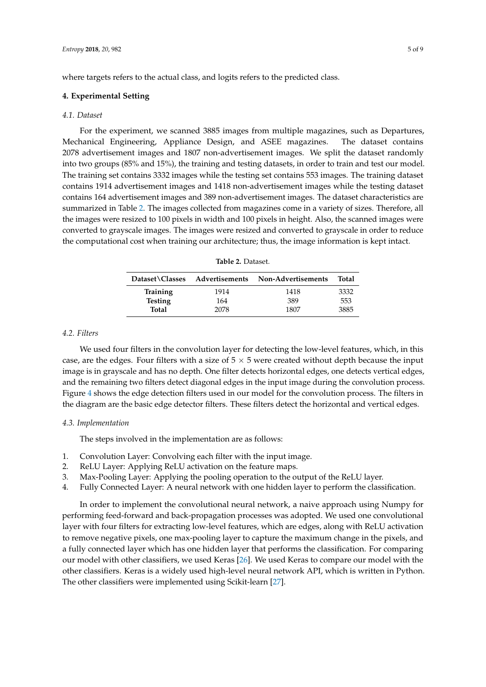where targets refers to the actual class, and logits refers to the predicted class.

#### <span id="page-4-0"></span>**4. Experimental Setting**

#### *4.1. Dataset*

For the experiment, we scanned 3885 images from multiple magazines, such as Departures, Mechanical Engineering, Appliance Design, and ASEE magazines. The dataset contains 2078 advertisement images and 1807 non-advertisement images. We split the dataset randomly into two groups (85% and 15%), the training and testing datasets, in order to train and test our model. The training set contains 3332 images while the testing set contains 553 images. The training dataset contains 1914 advertisement images and 1418 non-advertisement images while the testing dataset contains 164 advertisement images and 389 non-advertisement images. The dataset characteristics are summarized in Table [2.](#page-4-1) The images collected from magazines come in a variety of sizes. Therefore, all the images were resized to 100 pixels in width and 100 pixels in height. Also, the scanned images were converted to grayscale images. The images were resized and converted to grayscale in order to reduce the computational cost when training our architecture; thus, the image information is kept intact.

<span id="page-4-1"></span>

| Dataset\Classes | Advertisements | Non-Advertisements | Total |
|-----------------|----------------|--------------------|-------|
| <b>Training</b> | 1914           | 1418               | 3332  |
| <b>Testing</b>  | 164            | 389                | 553   |
| Total           | 2078           | 1807               | 3885  |

#### *4.2. Filters*

We used four filters in the convolution layer for detecting the low-level features, which, in this case, are the edges. Four filters with a size of  $5 \times 5$  were created without depth because the input image is in grayscale and has no depth. One filter detects horizontal edges, one detects vertical edges, and the remaining two filters detect diagonal edges in the input image during the convolution process. Figure [4](#page-5-0) shows the edge detection filters used in our model for the convolution process. The filters in the diagram are the basic edge detector filters. These filters detect the horizontal and vertical edges.

#### *4.3. Implementation*

The steps involved in the implementation are as follows:

- 1. Convolution Layer: Convolving each filter with the input image.
- 2. ReLU Layer: Applying ReLU activation on the feature maps.
- 3. Max-Pooling Layer: Applying the pooling operation to the output of the ReLU layer.
- 4. Fully Connected Layer: A neural network with one hidden layer to perform the classification.

In order to implement the convolutional neural network, a naive approach using Numpy for performing feed-forward and back-propagation processes was adopted. We used one convolutional layer with four filters for extracting low-level features, which are edges, along with ReLU activation to remove negative pixels, one max-pooling layer to capture the maximum change in the pixels, and a fully connected layer which has one hidden layer that performs the classification. For comparing our model with other classifiers, we used Keras [\[26\]](#page-8-12). We used Keras to compare our model with the other classifiers. Keras is a widely used high-level neural network API, which is written in Python. The other classifiers were implemented using Scikit-learn [\[27\]](#page-8-13).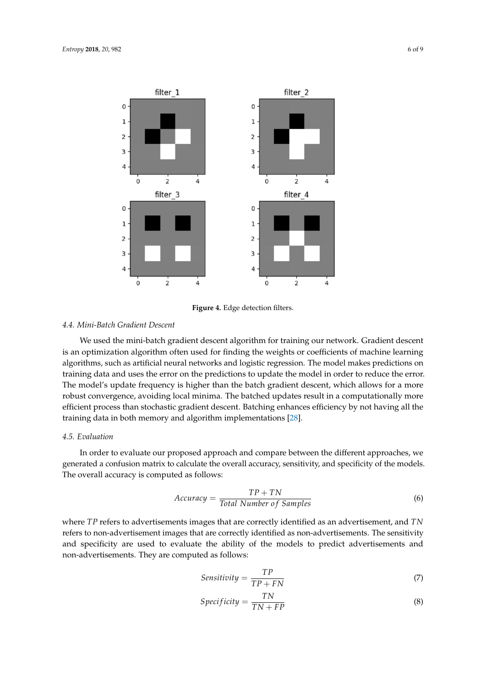<span id="page-5-0"></span>

**Figure 4.** Edge detection filters.

### *4.4. Mini-Batch Gradient Descent*

We used the mini-batch gradient descent algorithm for training our network. Gradient descent is an optimization algorithm often used for finding the weights or coefficients of machine learning algorithms, such as artificial neural networks and logistic regression. The model makes predictions on training data and uses the error on the predictions to update the model in order to reduce the error. The model's update frequency is higher than the batch gradient descent, which allows for a more robust convergence, avoiding local minima. The batched updates result in a computationally more efficient process than stochastic gradient descent. Batching enhances efficiency by not having all the training data in both memory and algorithm implementations [\[28\]](#page-8-14).

### *4.5. Evaluation*

In order to evaluate our proposed approach and compare between the different approaches, we generated a confusion matrix to calculate the overall accuracy, sensitivity, and specificity of the models. The overall accuracy is computed as follows:

$$
Accuracy = \frac{TP + TN}{Total Number of Samples}
$$
 (6)

where *TP* refers to advertisements images that are correctly identified as an advertisement, and *TN* refers to non-advertisement images that are correctly identified as non-advertisements. The sensitivity and specificity are used to evaluate the ability of the models to predict advertisements and non-advertisements. They are computed as follows:

$$
Sensitivity = \frac{TP}{TP + FN}
$$
 (7)

$$
Specificity = \frac{TN}{TN + FP}
$$
\n(8)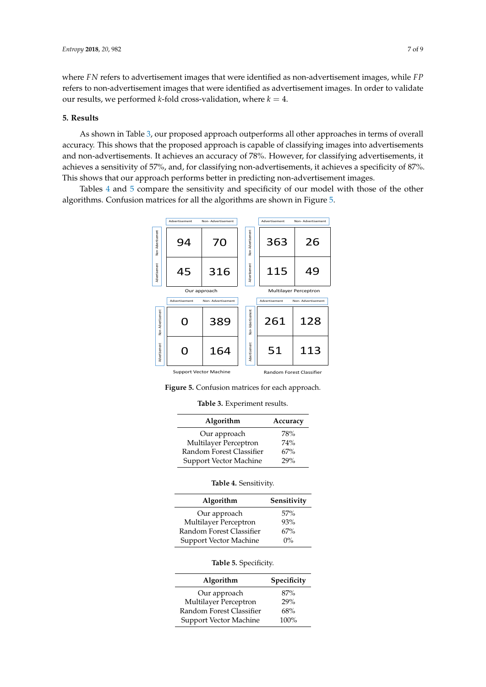where *FN* refers to advertisement images that were identified as non-advertisement images, while *FP* refers to non-advertisement images that were identified as advertisement images. In order to validate our results, we performed *k*-fold cross-validation, where  $k = 4$ .

#### <span id="page-6-0"></span>**5. Results**

As shown in Table [3,](#page-6-1) our proposed approach outperforms all other approaches in terms of overall accuracy. This shows that the proposed approach is capable of classifying images into advertisements and non-advertisements. It achieves an accuracy of 78%. However, for classifying advertisements, it achieves a sensitivity of 57%, and, for classifying non-advertisements, it achieves a specificity of 87%. This shows that our approach performs better in predicting non-advertisement images.

<span id="page-6-4"></span>Tables [4](#page-6-2) and [5](#page-6-3) compare the sensitivity and specificity of our model with those of the other algorithms. Confusion matrices for all the algorithms are shown in Figure [5.](#page-6-4)



<span id="page-6-1"></span>

|  | <b>Table 3.</b> Experiment results. |  |
|--|-------------------------------------|--|
|--|-------------------------------------|--|

| Algorithm                | Accuracy |
|--------------------------|----------|
| Our approach             | 78%      |
| Multilayer Perceptron    | 74%      |
| Random Forest Classifier | 67%      |
| Support Vector Machine   | 29%      |

#### **Table 4.** Sensitivity.

<span id="page-6-2"></span>

| Algorithm                | Sensitivity |
|--------------------------|-------------|
| Our approach             | 57%         |
| Multilayer Perceptron    | 93%         |
| Random Forest Classifier | 67%         |
| Support Vector Machine   | $0\%$       |

#### **Table 5.** Specificity.

<span id="page-6-3"></span>

| Algorithm                | Specificity |
|--------------------------|-------------|
| Our approach             | 87%         |
| Multilayer Perceptron    | 29%         |
| Random Forest Classifier | 68%         |
| Support Vector Machine   | 100%        |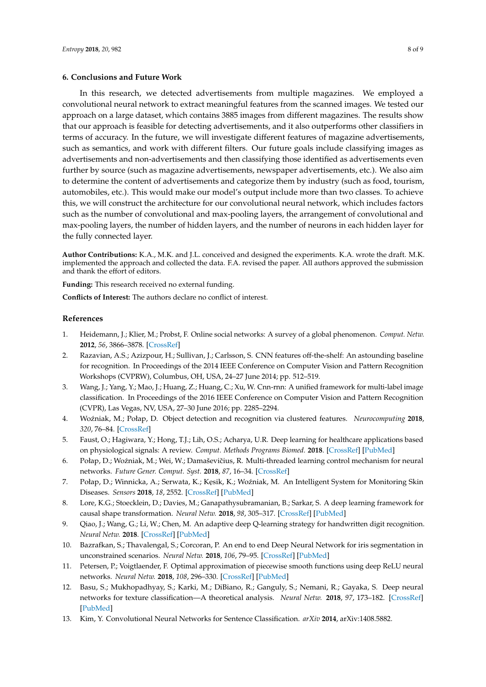#### <span id="page-7-13"></span>**6. Conclusions and Future Work**

In this research, we detected advertisements from multiple magazines. We employed a convolutional neural network to extract meaningful features from the scanned images. We tested our approach on a large dataset, which contains 3885 images from different magazines. The results show that our approach is feasible for detecting advertisements, and it also outperforms other classifiers in terms of accuracy. In the future, we will investigate different features of magazine advertisements, such as semantics, and work with different filters. Our future goals include classifying images as advertisements and non-advertisements and then classifying those identified as advertisements even further by source (such as magazine advertisements, newspaper advertisements, etc.). We also aim to determine the content of advertisements and categorize them by industry (such as food, tourism, automobiles, etc.). This would make our model's output include more than two classes. To achieve this, we will construct the architecture for our convolutional neural network, which includes factors such as the number of convolutional and max-pooling layers, the arrangement of convolutional and max-pooling layers, the number of hidden layers, and the number of neurons in each hidden layer for the fully connected layer.

**Author Contributions:** K.A., M.K. and J.L. conceived and designed the experiments. K.A. wrote the draft. M.K. implemented the approach and collected the data. F.A. revised the paper. All authors approved the submission and thank the effort of editors.

**Funding:** This research received no external funding.

**Conflicts of Interest:** The authors declare no conflict of interest.

# **References**

- <span id="page-7-0"></span>1. Heidemann, J.; Klier, M.; Probst, F. Online social networks: A survey of a global phenomenon. *Comput. Netw.* **2012**, *56*, 3866–3878. [\[CrossRef\]](http://dx.doi.org/10.1016/j.comnet.2012.08.009)
- <span id="page-7-1"></span>2. Razavian, A.S.; Azizpour, H.; Sullivan, J.; Carlsson, S. CNN features off-the-shelf: An astounding baseline for recognition. In Proceedings of the 2014 IEEE Conference on Computer Vision and Pattern Recognition Workshops (CVPRW), Columbus, OH, USA, 24–27 June 2014; pp. 512–519.
- <span id="page-7-2"></span>3. Wang, J.; Yang, Y.; Mao, J.; Huang, Z.; Huang, C.; Xu, W. Cnn-rnn: A unified framework for multi-label image classification. In Proceedings of the 2016 IEEE Conference on Computer Vision and Pattern Recognition (CVPR), Las Vegas, NV, USA, 27–30 June 2016; pp. 2285–2294.
- <span id="page-7-3"></span>4. Wo´zniak, M.; Połap, D. Object detection and recognition via clustered features. *Neurocomputing* **2018**, *320*, 76–84. [\[CrossRef\]](http://dx.doi.org/10.1016/j.neucom.2018.09.003)
- <span id="page-7-4"></span>5. Faust, O.; Hagiwara, Y.; Hong, T.J.; Lih, O.S.; Acharya, U.R. Deep learning for healthcare applications based on physiological signals: A review. *Comput. Methods Programs Biomed.* **2018**. [\[CrossRef\]](http://dx.doi.org/10.1016/j.cmpb.2018.04.005) [\[PubMed\]](http://www.ncbi.nlm.nih.gov/pubmed/29852952)
- <span id="page-7-5"></span>6. Połap, D.; Woźniak, M.; Wei, W.; Damaševičius, R. Multi-threaded learning control mechanism for neural networks. *Future Gener. Comput. Syst.* **2018**, *87*, 16–34. [\[CrossRef\]](http://dx.doi.org/10.1016/j.future.2018.04.050)
- <span id="page-7-6"></span>7. Połap, D.; Winnicka, A.; Serwata, K.; Kęsik, K.; Woźniak, M. An Intelligent System for Monitoring Skin Diseases. *Sensors* **2018**, *18*, 2552. [\[CrossRef\]](http://dx.doi.org/10.3390/s18082552) [\[PubMed\]](http://www.ncbi.nlm.nih.gov/pubmed/30081540)
- <span id="page-7-7"></span>8. Lore, K.G.; Stoecklein, D.; Davies, M.; Ganapathysubramanian, B.; Sarkar, S. A deep learning framework for causal shape transformation. *Neural Netw.* **2018**, *98*, 305–317. [\[CrossRef\]](http://dx.doi.org/10.1016/j.neunet.2017.12.003) [\[PubMed\]](http://www.ncbi.nlm.nih.gov/pubmed/29301111)
- <span id="page-7-8"></span>9. Qiao, J.; Wang, G.; Li, W.; Chen, M. An adaptive deep Q-learning strategy for handwritten digit recognition. *Neural Netw.* **2018**. [\[CrossRef\]](http://dx.doi.org/10.1016/j.neunet.2018.02.010) [\[PubMed\]](http://www.ncbi.nlm.nih.gov/pubmed/29735249)
- <span id="page-7-9"></span>10. Bazrafkan, S.; Thavalengal, S.; Corcoran, P. An end to end Deep Neural Network for iris segmentation in unconstrained scenarios. *Neural Netw.* **2018**, *106*, 79–95. [\[CrossRef\]](http://dx.doi.org/10.1016/j.neunet.2018.06.011) [\[PubMed\]](http://www.ncbi.nlm.nih.gov/pubmed/30041104)
- <span id="page-7-10"></span>11. Petersen, P.; Voigtlaender, F. Optimal approximation of piecewise smooth functions using deep ReLU neural networks. *Neural Netw.* **2018**, *108*, 296–330. [\[CrossRef\]](http://dx.doi.org/10.1016/j.neunet.2018.08.019) [\[PubMed\]](http://www.ncbi.nlm.nih.gov/pubmed/30245431)
- <span id="page-7-11"></span>12. Basu, S.; Mukhopadhyay, S.; Karki, M.; DiBiano, R.; Ganguly, S.; Nemani, R.; Gayaka, S. Deep neural networks for texture classification—A theoretical analysis. *Neural Netw.* **2018**, *97*, 173–182. [\[CrossRef\]](http://dx.doi.org/10.1016/j.neunet.2017.10.001) [\[PubMed\]](http://www.ncbi.nlm.nih.gov/pubmed/29126070)
- <span id="page-7-12"></span>13. Kim, Y. Convolutional Neural Networks for Sentence Classification. *arXiv* **2014**, arXiv:1408.5882.